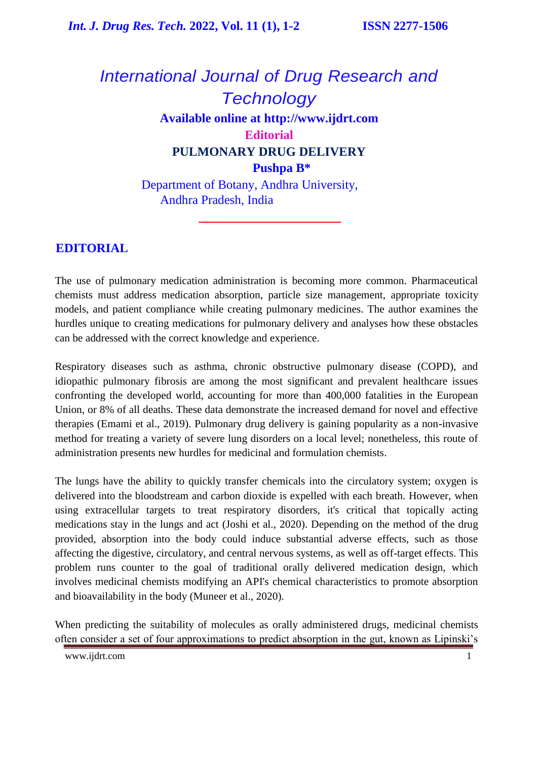# *International Journal of Drug Research and Technology* **Available online at [http://www.ijdrt.com](http://www.ijdrt.com/) Editorial PULMONARY DRUG DELIVERY Pushpa B\*** Department of Botany, Andhra University,

Andhra Pradesh, India

### **EDITORIAL**

The use of pulmonary medication administration is becoming more common. Pharmaceutical chemists must address medication absorption, particle size management, appropriate toxicity models, and patient compliance while creating pulmonary medicines. The author examines the hurdles unique to creating medications for pulmonary delivery and analyses how these obstacles can be addressed with the correct knowledge and experience.

Respiratory diseases such as asthma, chronic obstructive pulmonary disease (COPD), and idiopathic pulmonary fibrosis are among the most significant and prevalent healthcare issues confronting the developed world, accounting for more than 400,000 fatalities in the European Union, or 8% of all deaths. These data demonstrate the increased demand for novel and effective therapies (Emami et al., 2019). Pulmonary drug delivery is gaining popularity as a non-invasive method for treating a variety of severe lung disorders on a local level; nonetheless, this route of administration presents new hurdles for medicinal and formulation chemists.

The lungs have the ability to quickly transfer chemicals into the circulatory system; oxygen is delivered into the bloodstream and carbon dioxide is expelled with each breath. However, when using extracellular targets to treat respiratory disorders, it's critical that topically acting medications stay in the lungs and act (Joshi et al., 2020). Depending on the method of the drug provided, absorption into the body could induce substantial adverse effects, such as those affecting the digestive, circulatory, and central nervous systems, as well as off-target effects. This problem runs counter to the goal of traditional orally delivered medication design, which involves medicinal chemists modifying an API's chemical characteristics to promote absorption and bioavailability in the body (Muneer et al., 2020).

When predicting the suitability of molecules as orally administered drugs, medicinal chemists often consider a set of four approximations to predict absorption in the gut, known as Lipinski's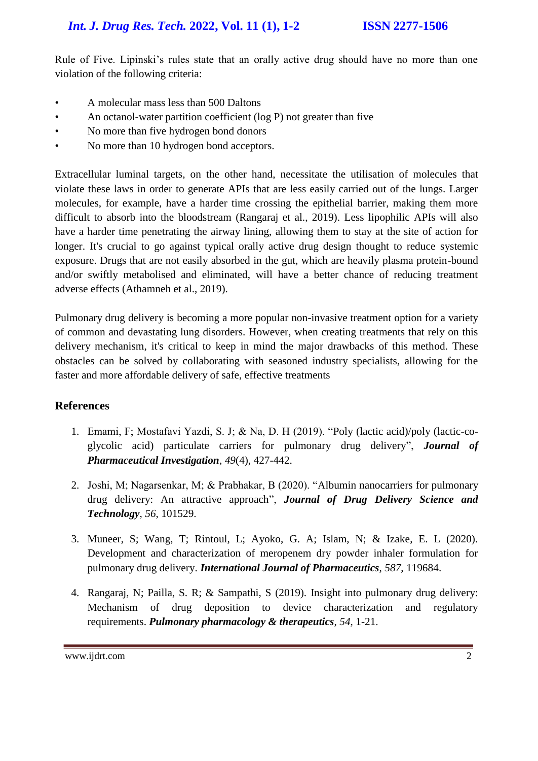Rule of Five. Lipinski's rules state that an orally active drug should have no more than one violation of the following criteria:

- A molecular mass less than 500 Daltons
- An octanol-water partition coefficient (log P) not greater than five
- No more than five hydrogen bond donors
- No more than 10 hydrogen bond acceptors.

Extracellular luminal targets, on the other hand, necessitate the utilisation of molecules that violate these laws in order to generate APIs that are less easily carried out of the lungs. Larger molecules, for example, have a harder time crossing the epithelial barrier, making them more difficult to absorb into the bloodstream (Rangaraj et al., 2019). Less lipophilic APIs will also have a harder time penetrating the airway lining, allowing them to stay at the site of action for longer. It's crucial to go against typical orally active drug design thought to reduce systemic exposure. Drugs that are not easily absorbed in the gut, which are heavily plasma protein-bound and/or swiftly metabolised and eliminated, will have a better chance of reducing treatment adverse effects (Athamneh et al., 2019).

Pulmonary drug delivery is becoming a more popular non-invasive treatment option for a variety of common and devastating lung disorders. However, when creating treatments that rely on this delivery mechanism, it's critical to keep in mind the major drawbacks of this method. These obstacles can be solved by collaborating with seasoned industry specialists, allowing for the faster and more affordable delivery of safe, effective treatments

#### **References**

- 1. Emami, F; Mostafavi Yazdi, S. J; & Na, D. H (2019). ["Poly \(lactic acid\)/poly \(lactic-co](https://link.springer.com/article/10.1007/s40005-019-00443-1)[glycolic acid\) particulate carriers for pulmonary drug delivery"](https://link.springer.com/article/10.1007/s40005-019-00443-1), *Journal of Pharmaceutical Investigation*, *49*(4), 427-442.
- 2. Joshi, M; Nagarsenkar, M; & Prabhakar, B (2020). ["Albumin nanocarriers](https://www.sciencedirect.com/science/article/pii/S1773224719317137) for pulmonary [drug delivery: An attractive approach"](https://www.sciencedirect.com/science/article/pii/S1773224719317137), *Journal of Drug Delivery Science and Technology*, *56*, 101529.
- 3. Muneer, S; Wang, T; Rintoul, L; Ayoko, G. A; Islam, N; & Izake, E. L (2020). [Development and characterization of meropenem dry powder inhaler formulation for](https://www.sciencedirect.com/science/article/pii/S0378517320306682)  [pulmonary drug delivery.](https://www.sciencedirect.com/science/article/pii/S0378517320306682) *International Journal of Pharmaceutics*, *587*, 119684.
- 4. Rangaraj, N; Pailla, S. R; & Sampathi, S (2019). [Insight into pulmonary drug delivery:](https://www.sciencedirect.com/science/article/pii/S1094553918301895)  [Mechanism of drug deposition to device characterization and regulatory](https://www.sciencedirect.com/science/article/pii/S1094553918301895)  [requirements.](https://www.sciencedirect.com/science/article/pii/S1094553918301895) *Pulmonary pharmacology & therapeutics*, *54*, 1-21.